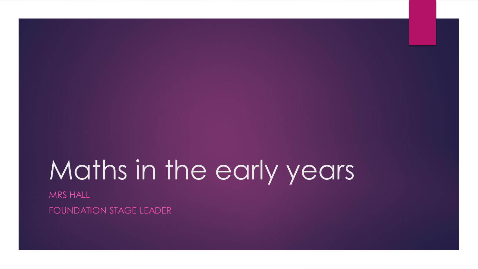# Maths in the early years

MRS HALL FOUNDATION STAGE LEADER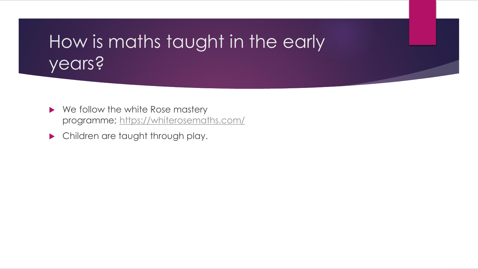# How is maths taught in the early years?

- ▶ We follow the white Rose mastery programme; <https://whiterosemaths.com/>
- **Children are taught through play.**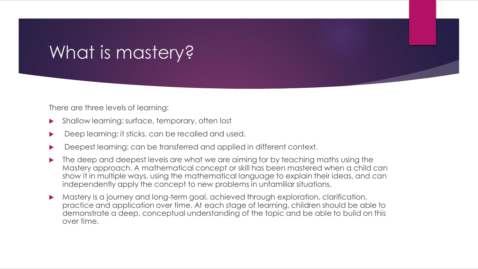# What is mastery?

There are three levels of learning:

- Shallow learning: surface, temporary, often lost
- Deep learning: it sticks, can be recalled and used.
- Deepest learning: can be transferred and applied in different context.
- The deep and deepest levels are what we are aiming for by teaching maths using the Mastery approach. A mathematical concept or skill has been mastered when a child can show it in multiple ways, using the mathematical language to explain their ideas, and can independently apply the concept to new problems in unfamiliar situations.
- Mastery is a journey and long-term goal, achieved through exploration, clarification, practice and application over time. At each stage of learning, children should be able to demonstrate a deep, conceptual understanding of the topic and be able to build on this over time.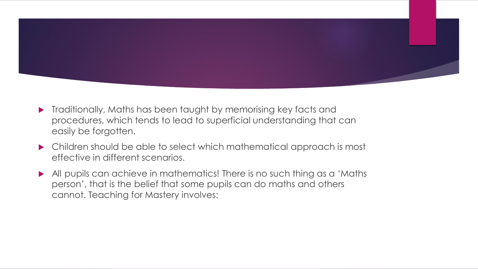

- **Traditionally, Maths has been taught by memorising key facts and** procedures, which tends to lead to superficial understanding that can easily be forgotten.
- Children should be able to select which mathematical approach is most effective in different scenarios.
- All pupils can achieve in mathematics! There is no such thing as a 'Maths' person', that is the belief that some pupils can do maths and others cannot. Teaching for Mastery involves: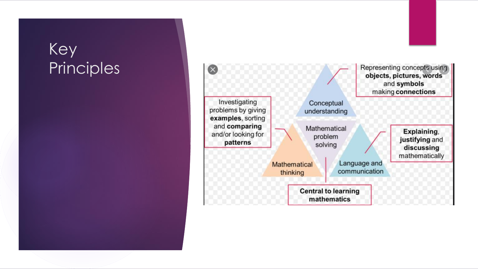#### Key Principles

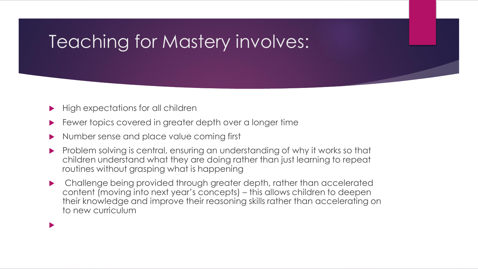# Teaching for Mastery involves:

High expectations for all children

 $\blacktriangleright$ 

- Fewer topics covered in greater depth over a longer time
- Number sense and place value coming first
- **Problem solving is central, ensuring an understanding of why it works so that** children understand what they are doing rather than just learning to repeat routines without grasping what is happening
- Challenge being provided through greater depth, rather than accelerated content (moving into next year's concepts) – this allows children to deepen their knowledge and improve their reasoning skills rather than accelerating on to new curriculum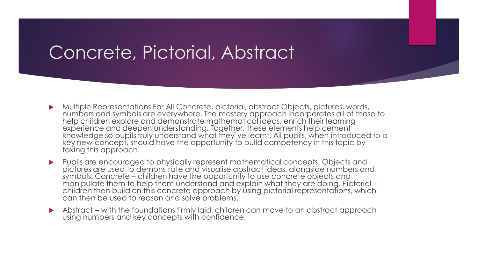#### Concrete, Pictorial, Abstract

- Multiple Representations For All Concrete, pictorial, abstract Objects, pictures, words, numbers and symbols are everywhere. The mastery approach incorporates all of these to help children explore and demonstrate mathematical ideas, enrich their learning experience and deepen understanding. Together, these elements help cement knowledge so pupils truly understand what they've learnt. All pupils, when introduced to a key new concept, should have the opportunity to build competency in this topic by taking this approach.
- Pupils are encouraged to physically represent mathematical concepts. Objects and pictures are used to demonstrate and visualise abstract ideas, alongside numbers and symbols. Concrete – children have the opportunity to use concrete objects and manipulate them to help them understand and explain what they are doing. Pictorial – children then build on this concrete approach by using pictorial representations, which can then be used to reason and solve problems.
- Abstract with the foundations firmly laid, children can move to an abstract approach using numbers and key concepts with confidence.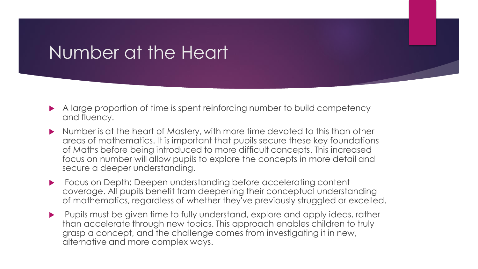#### Number at the Heart

- A large proportion of time is spent reinforcing number to build competency and fluency.
- Number is at the heart of Mastery, with more time devoted to this than other areas of mathematics. It is important that pupils secure these key foundations of Maths before being introduced to more difficult concepts. This increased focus on number will allow pupils to explore the concepts in more detail and secure a deeper understanding.
- Focus on Depth; Deepen understanding before accelerating content coverage. All pupils benefit from deepening their conceptual understanding of mathematics, regardless of whether they've previously struggled or excelled.
- Pupils must be given time to fully understand, explore and apply ideas, rather than accelerate through new topics. This approach enables children to truly grasp a concept, and the challenge comes from investigating it in new, alternative and more complex ways.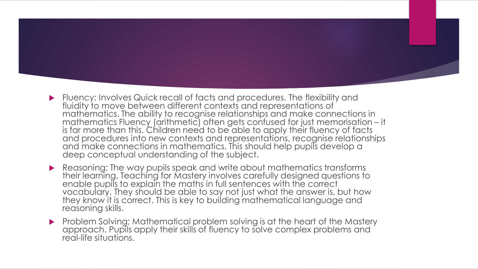- Fluency; Involves Quick recall of facts and procedures. The flexibility and fluidity to move between different contexts and representations of mathematics. The ability to recognise relationships and make connections in mathematics Fluency (arithmetic) often gets confused for just memorisation – it is far more than this. Children need to be able to apply their fluency of facts and procedures into new contexts and representations, recognise relationships and make connections in mathematics. This should help pupils develop a deep conceptual understanding of the subject.
- Reasoning; The way pupils speak and write about mathematics transforms their learning. Teaching for Mastery involves carefully designed questions to enable pupils to explain the maths in full sentences with the correct vocabulary. They should be able to say not just what the answer is, but how they know it is correct. This is key to building mathematical language and reasoning skills.
- Problem Solving; Mathematical problem solving is at the heart of the Mastery approach. Pupils apply their skills of fluency to solve complex problems and real-life situations.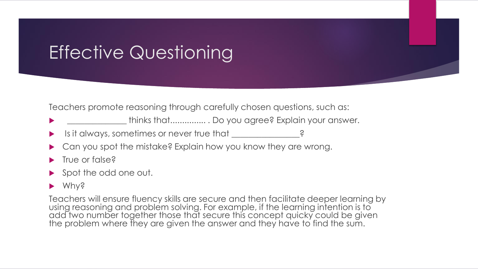# Effective Questioning

Teachers promote reasoning through carefully chosen questions, such as:

- \_\_\_\_\_\_\_\_\_\_\_\_\_\_ thinks that............... . Do you agree? Explain your answer.
- Is it always, sometimes or never true that  $\qquad \qquad$  ?
- Can you spot the mistake? Explain how you know they are wrong.
- True or false?
- ▶ Spot the odd one out.

#### ▶ Why?

Teachers will ensure fluency skills are secure and then facilitate deeper learning by using reasoning and problem solving. For example, if the learning intention is to add two number together those that secure this concept quicky could be given the problem where they are given the answer and they have to find the sum.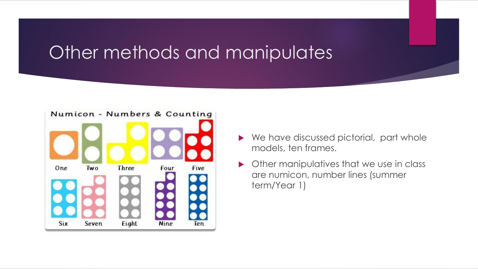### Other methods and manipulates



- ▶ We have discussed pictorial, part whole models, ten frames.
- **Other manipulatives that we use in class** are numicon, number lines (summer term/Year 1)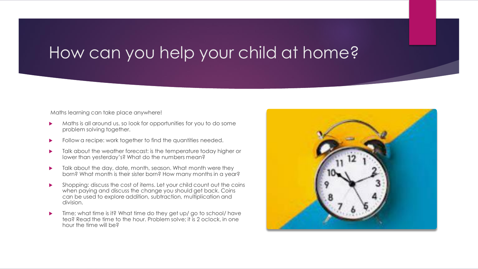#### How can you help your child at home?

Maths learning can take place anywhere!

- Maths is all around us, so look for opportunities for you to do some problem solving together.
- Follow a recipe: work together to find the quantities needed.
- Talk about the weather forecast: is the temperature today higher or lower than yesterday's? What do the numbers mean?
- $\blacktriangleright$  Talk about the day, date, month, season. What month were they born? What month is their sister born? How many months in a year?
- Shopping: discuss the cost of items. Let your child count out the coins when paying and discuss the change you should get back. Coins can be used to explore addition, subtraction, multiplication and division.
- ▶ Time; what time is it? What time do they get up/go to school/have tea? Read the time to the hour. Problem solve; it is 2 oclock, in one hour the time will be?